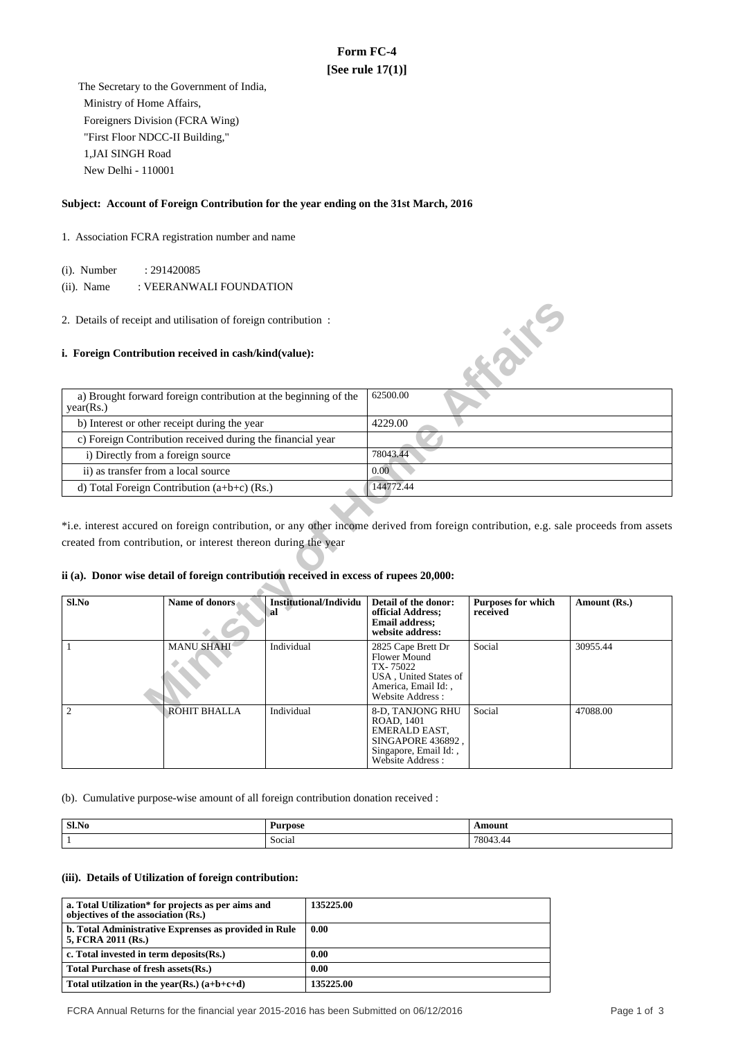# **Form FC-4 [See rule 17(1)]**

 The Secretary to the Government of India, Ministry of Home Affairs, Foreigners Division (FCRA Wing) "First Floor NDCC-II Building," 1,JAI SINGH Road New Delhi - 110001

### **Subject: Account of Foreign Contribution for the year ending on the 31st March, 2016**

### 1. Association FCRA registration number and name

(i). Number : 291420085

(ii). Name : VEERANWALI FOUNDATION

#### **i. Foreign Contribution received in cash/kind(value):**

| a) Brought forward foreign contribution at the beginning of the<br>year(Rs.) | 62500.00  |
|------------------------------------------------------------------------------|-----------|
| b) Interest or other receipt during the year                                 | 4229.00   |
| c) Foreign Contribution received during the financial year                   |           |
| i) Directly from a foreign source                                            | 78043.44  |
| ii) as transfer from a local source                                          | 0.00      |
| d) Total Foreign Contribution $(a+b+c)$ (Rs.)                                | 144772.44 |

### **ii (a). Donor wise detail of foreign contribution received in excess of rupees 20,000:**

|                                                                              | 2. Details of receipt and utilisation of foreign contribution:                                                                                           |                                     |                                                                                                                    |                                       |                                                                                                                                       |
|------------------------------------------------------------------------------|----------------------------------------------------------------------------------------------------------------------------------------------------------|-------------------------------------|--------------------------------------------------------------------------------------------------------------------|---------------------------------------|---------------------------------------------------------------------------------------------------------------------------------------|
|                                                                              | i. Foreign Contribution received in cash/kind(value):                                                                                                    |                                     |                                                                                                                    | <b>FORTE</b>                          |                                                                                                                                       |
| a) Brought forward foreign contribution at the beginning of the<br>year(Rs.) |                                                                                                                                                          | 62500.00                            |                                                                                                                    |                                       |                                                                                                                                       |
|                                                                              | b) Interest or other receipt during the year                                                                                                             |                                     | 4229.00                                                                                                            |                                       |                                                                                                                                       |
|                                                                              | c) Foreign Contribution received during the financial year                                                                                               |                                     |                                                                                                                    |                                       |                                                                                                                                       |
| i) Directly from a foreign source                                            |                                                                                                                                                          |                                     | 78043.44                                                                                                           |                                       |                                                                                                                                       |
| ii) as transfer from a local source                                          |                                                                                                                                                          |                                     | 0.00                                                                                                               |                                       |                                                                                                                                       |
|                                                                              | d) Total Foreign Contribution (a+b+c) (Rs.)                                                                                                              |                                     | 144772.44                                                                                                          |                                       |                                                                                                                                       |
|                                                                              | created from contribution, or interest thereon during the year<br>ii (a). Donor wise detail of foreign contribution received in excess of rupees 20,000: |                                     |                                                                                                                    |                                       | *i.e. interest accured on foreign contribution, or any other income derived from foreign contribution, e.g. sale proceeds from assets |
| Sl.No                                                                        | Name of donors                                                                                                                                           | <b>Institutional/Individu</b><br>al | Detail of the donor:<br>official Address;<br><b>Email address:</b><br>website address:                             | <b>Purposes for which</b><br>received | Amount (Rs.)                                                                                                                          |
| 1                                                                            | <b>MANU SHAHI</b>                                                                                                                                        | Individual                          | 2825 Cape Brett Dr<br>Flower Mound<br>TX-75022<br>USA, United States of<br>America, Email Id:,<br>Website Address: | Social                                | 30955.44                                                                                                                              |
| $\overline{2}$                                                               | <b>ROHIT BHALLA</b>                                                                                                                                      | Individual                          | 8-D, TANJONG RHU<br>ROAD, 1401<br>EMERALD EAST,<br>SINGAPORE 436892.<br>Singapore, Email Id:,<br>Website Address:  | Social                                | 47088.00                                                                                                                              |

(b). Cumulative purpose-wise amount of all foreign contribution donation received :

| Sl.No | Purpose<br>$-$        | \mount               |
|-------|-----------------------|----------------------|
|       | ∼<br>Social<br>$-1.1$ | 7804.<br>44<br>_____ |

#### **(iii). Details of Utilization of foreign contribution:**

| a. Total Utilization* for projects as per aims and<br>objectives of the association (Rs.) | 135225.00 |
|-------------------------------------------------------------------------------------------|-----------|
| b. Total Administrative Exprenses as provided in Rule<br>5, FCRA 2011 (Rs.)               | 0.00      |
| c. Total invested in term deposits(Rs.)                                                   | 0.00      |
| Total Purchase of fresh assets (Rs.)                                                      | 0.00      |
| Total utilization in the year(Rs.) $(a+b+c+d)$                                            | 135225.00 |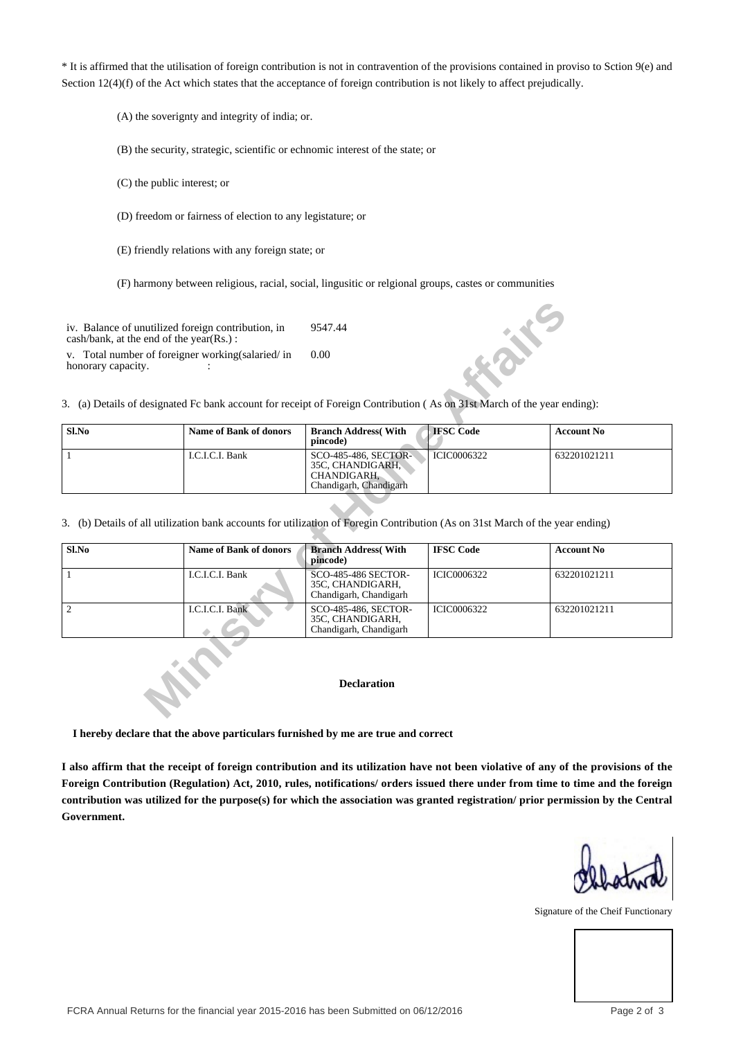\* It is affirmed that the utilisation of foreign contribution is not in contravention of the provisions contained in proviso to Sction 9(e) and Section 12(4)(f) of the Act which states that the acceptance of foreign contribution is not likely to affect prejudically.

(A) the soverignty and integrity of india; or.

(B) the security, strategic, scientific or echnomic interest of the state; or

(C) the public interest; or

(D) freedom or fairness of election to any legistature; or

(E) friendly relations with any foreign state; or

(F) harmony between religious, racial, social, lingusitic or relgional groups, castes or communities

| Sl.No | <b>Name of Bank of donors</b> | <b>Branch Address</b> (With<br>pincode)                                           | <b>IFSC</b> Code   | <b>Account No</b> |
|-------|-------------------------------|-----------------------------------------------------------------------------------|--------------------|-------------------|
|       | I.C.I.C.I. Bank               | SCO-485-486, SECTOR-<br>35C, CHANDIGARH,<br>CHANDIGARH.<br>Chandigarh, Chandigarh | <b>ICIC0006322</b> | 632201021211      |

|                    | iv. Balance of unutilized foreign contribution, in<br>$\cosh/bank$ , at the end of the year(Rs.):                                                                            | 9547.44                                                                           | 术                  |                   |
|--------------------|------------------------------------------------------------------------------------------------------------------------------------------------------------------------------|-----------------------------------------------------------------------------------|--------------------|-------------------|
| honorary capacity. | v. Total number of foreigner working (salaried/in<br>3. (a) Details of designated Fc bank account for receipt of Foreign Contribution (As on 31st March of the year ending): | 0.00                                                                              |                    |                   |
| Sl.No              | <b>Name of Bank of donors</b>                                                                                                                                                | <b>Branch Address</b> (With<br>pincode)                                           | <b>IFSC</b> Code   | <b>Account No</b> |
| 1                  | I.C.I.C.I. Bank                                                                                                                                                              | SCO-485-486, SECTOR-<br>35C, CHANDIGARH,<br>CHANDIGARH.<br>Chandigarh, Chandigarh | <b>ICIC0006322</b> | 632201021211      |
|                    | 3. (b) Details of all utilization bank accounts for utilization of Foregin Contribution (As on 31st March of the year ending)                                                |                                                                                   |                    |                   |
| Sl.No              | <b>Name of Bank of donors</b>                                                                                                                                                | <b>Branch Address</b> (With<br>pincode)                                           | <b>IFSC</b> Code   | <b>Account No</b> |
| 1                  | I.C.I.C.I. Bank                                                                                                                                                              | <b>SCO-485-486 SECTOR-</b><br>35C, CHANDIGARH,<br>Chandigarh, Chandigarh          | <b>ICIC0006322</b> | 632201021211      |
| $\mathfrak{2}$     | I.C.I.C.I. Bank                                                                                                                                                              | SCO-485-486, SECTOR-<br>35C, CHANDIGARH,<br>Chandigarh, Chandigarh                | <b>ICIC0006322</b> | 632201021211      |
|                    |                                                                                                                                                                              | <b>Declaration</b>                                                                |                    |                   |

## **Declaration**

 **I hereby declare that the above particulars furnished by me are true and correct**

**I also affirm that the receipt of foreign contribution and its utilization have not been violative of any of the provisions of the Foreign Contribution (Regulation) Act, 2010, rules, notifications/ orders issued there under from time to time and the foreign contribution was utilized for the purpose(s) for which the association was granted registration/ prior permission by the Central Government.**

Signature of the Cheif Functionary